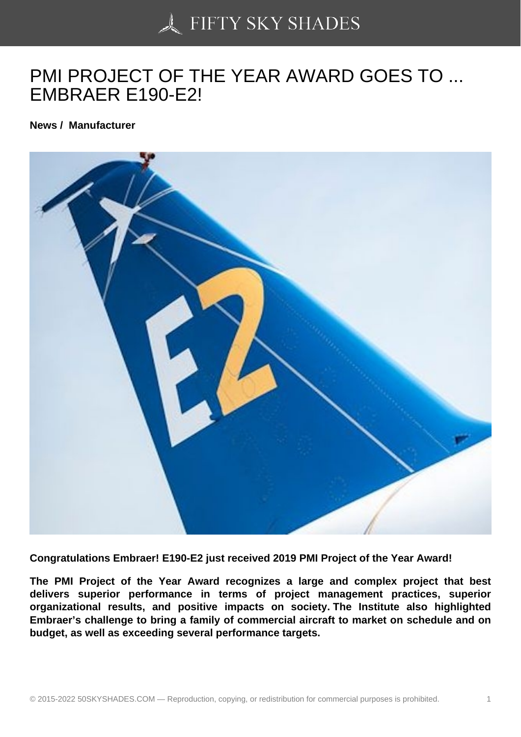## [PMI PROJECT OF TH](https://50skyshades.com)E YEAR AWARD GOES TO ... EMBRAER E190-E2!

News / Manufacturer

Congratulations Embraer! E190-E2 just received 2019 PMI Project of the Year Award!

The PMI Project of the Year Award recognizes a large and complex project that best delivers superior performance in terms of project management practices, superior organizational results, and positive impacts on society. The Institute also highlighted Embraer's challenge to bring a family of commercial aircraft to market on schedule and on budget, as well as exceeding several performance targets.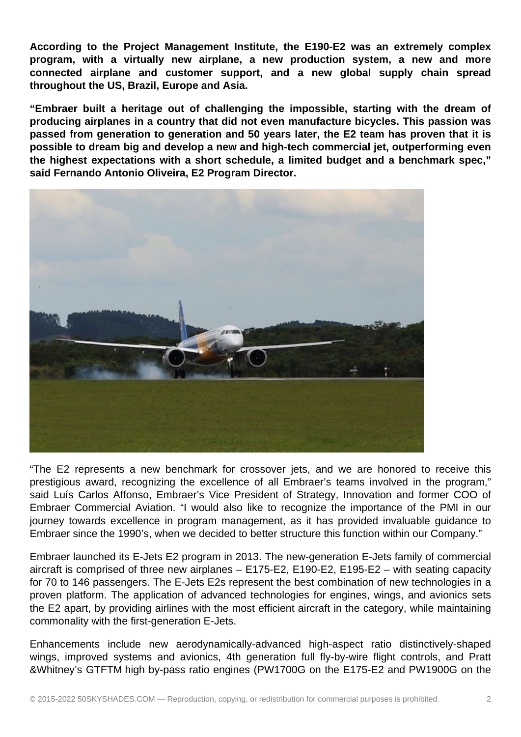**According to the Project Management Institute, the E190-E2 was an extremely complex program, with a virtually new airplane, a new production system, a new and more connected airplane and customer support, and a new global supply chain spread throughout the US, Brazil, Europe and Asia.**

**"Embraer built a heritage out of challenging the impossible, starting with the dream of producing airplanes in a country that did not even manufacture bicycles. This passion was passed from generation to generation and 50 years later, the E2 team has proven that it is possible to dream big and develop a new and high-tech commercial jet, outperforming even the highest expectations with a short schedule, a limited budget and a benchmark spec," said Fernando Antonio Oliveira, E2 Program Director.**



"The E2 represents a new benchmark for crossover jets, and we are honored to receive this prestigious award, recognizing the excellence of all Embraer's teams involved in the program," said Luís Carlos Affonso, Embraer's Vice President of Strategy, Innovation and former COO of Embraer Commercial Aviation. "I would also like to recognize the importance of the PMI in our journey towards excellence in program management, as it has provided invaluable guidance to Embraer since the 1990's, when we decided to better structure this function within our Company."

Embraer launched its E-Jets E2 program in 2013. The new-generation E-Jets family of commercial aircraft is comprised of three new airplanes – E175-E2, E190-E2, E195-E2 – with seating capacity for 70 to 146 passengers. The E-Jets E2s represent the best combination of new technologies in a proven platform. The application of advanced technologies for engines, wings, and avionics sets the E2 apart, by providing airlines with the most efficient aircraft in the category, while maintaining commonality with the first-generation E-Jets.

Enhancements include new aerodynamically-advanced high-aspect ratio distinctively-shaped wings, improved systems and avionics, 4th generation full fly-by-wire flight controls, and Pratt &Whitney's GTFTM high by-pass ratio engines (PW1700G on the E175-E2 and PW1900G on the